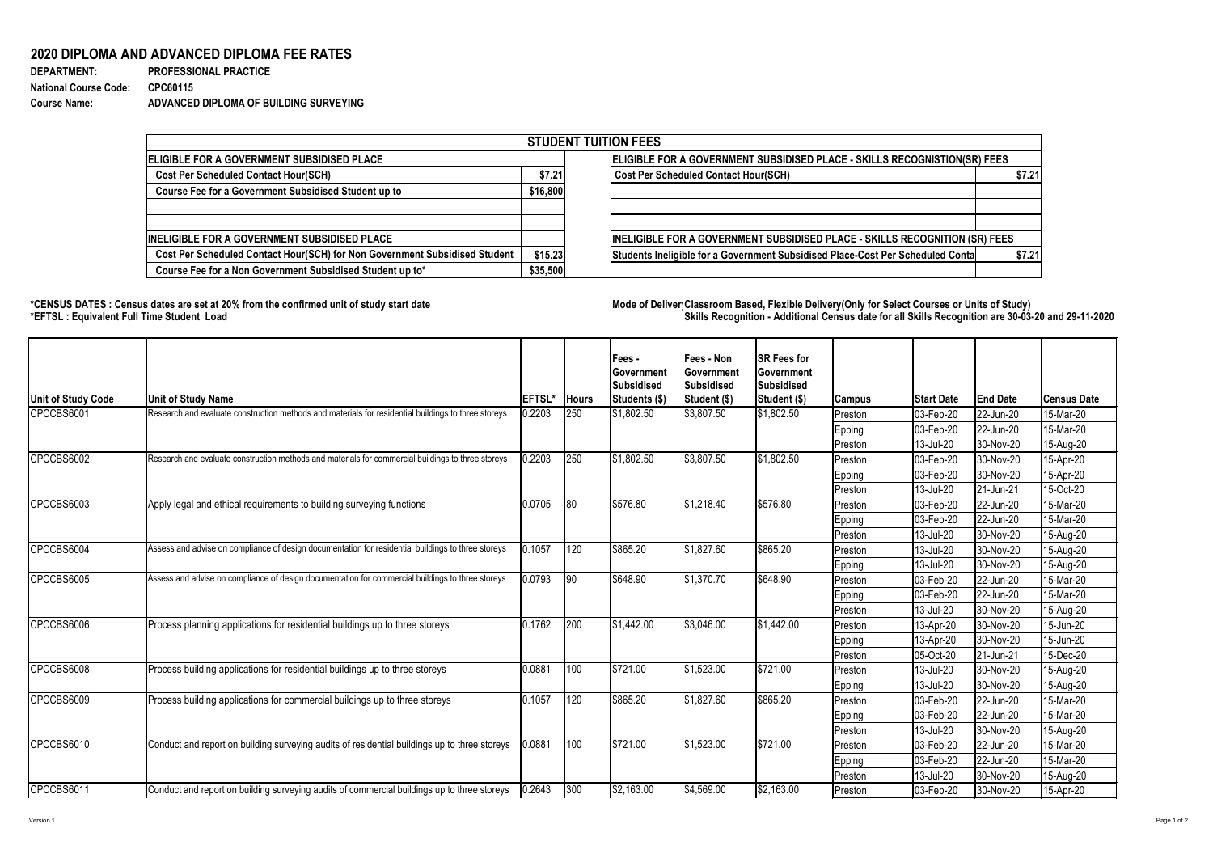## Version 1 Page 1 of 2

## **2020 DIPLOMA AND ADVANCED DIPLOMA FEE RATES**

| <b>DEPARTMENT:</b>           | <b>PROFESSIONAL PRACTICE</b>           |
|------------------------------|----------------------------------------|
| <b>National Course Code:</b> | CPC60115                               |
| <b>Course Name:</b>          | ADVANCED DIPLOMA OF BUILDING SURVEYING |

## **\*CENSUS DATES : Census dates are set at 20% from the confirmed unit of study start date Mode of DeliveryClassroom Based, Flexible Delivery(Only for Select Courses or Units of Study) \*EFTSL : Equivalent Full Time Student Load Skills Recognition - Additional Census date for all Skills Recognition are 30-03-20 and 29-11-2020**



| <b>STUDENT TUITION FEES</b>                                                |          |                                                                                |        |  |  |  |  |  |
|----------------------------------------------------------------------------|----------|--------------------------------------------------------------------------------|--------|--|--|--|--|--|
| ELIGIBLE FOR A GOVERNMENT SUBSIDISED PLACE                                 |          | ELIGIBLE FOR A GOVERNMENT SUBSIDISED PLACE - SKILLS RECOGNISTION(SR) FEES      |        |  |  |  |  |  |
| <b>Cost Per Scheduled Contact Hour(SCH)</b>                                |          | <b>Cost Per Scheduled Contact Hour(SCH)</b>                                    | \$7.21 |  |  |  |  |  |
| <b>Course Fee for a Government Subsidised Student up to</b>                | \$16,800 |                                                                                |        |  |  |  |  |  |
|                                                                            |          |                                                                                |        |  |  |  |  |  |
|                                                                            |          |                                                                                |        |  |  |  |  |  |
| <b>INELIGIBLE FOR A GOVERNMENT SUBSIDISED PLACE</b>                        |          | INELIGIBLE FOR A GOVERNMENT SUBSIDISED PLACE - SKILLS RECOGNITION (SR) FEES    |        |  |  |  |  |  |
| Cost Per Scheduled Contact Hour(SCH) for Non Government Subsidised Student | \$15.23  | Students Ineligible for a Government Subsidised Place-Cost Per Scheduled Conta | \$7.21 |  |  |  |  |  |
| Course Fee for a Non Government Subsidised Student up to*                  | \$35,500 |                                                                                |        |  |  |  |  |  |

| <b>Unit of Study Code</b> | <b>Unit of Study Name</b>                                                                           | <b>EFTSL*</b> | <b>Hours</b> | Fees -<br> Government<br><b>Subsidised</b><br>Students (\$) | <b>Fees - Non</b><br><b>Government</b><br>Subsidised<br>Student (\$) | <b>SR Fees for</b><br>Government<br><b>Subsidised</b><br>Student (\$) | Campus         | <b>Start Date</b>        | <b>End Date</b> | <b>Census Date</b> |
|---------------------------|-----------------------------------------------------------------------------------------------------|---------------|--------------|-------------------------------------------------------------|----------------------------------------------------------------------|-----------------------------------------------------------------------|----------------|--------------------------|-----------------|--------------------|
| CPCCBS6001                | Research and evaluate construction methods and materials for residential buildings to three storeys | 0.2203        | 250          | \$1,802.50                                                  | $ \$3,807.50$                                                        | \$1,802.50                                                            | Preston        | $ 03 - \text{Feb} - 20 $ | 22-Jun-20       | 15-Mar-20          |
|                           |                                                                                                     |               |              |                                                             |                                                                      |                                                                       | <b>Epping</b>  | $ 03 - \text{Feb} - 20 $ | 22-Jun-20       | 15-Mar-20          |
|                           |                                                                                                     |               |              |                                                             |                                                                      |                                                                       | Preston        | $ 13 -$ Jul-20           | 30-Nov-20       | 15-Aug-20          |
| CPCCBS6002                | Research and evaluate construction methods and materials for commercial buildings to three storeys  | 0.2203        | 250          | \$1,802.50                                                  | $\frac{1}{3}3,807.50$                                                | \$1,802.50                                                            | Preston        | $ 03 - \text{Feb} - 20 $ | 30-Nov-20       | 15-Apr-20          |
|                           |                                                                                                     |               |              |                                                             |                                                                      |                                                                       | Epping         | $ 03 - \text{Feb} - 20 $ | 30-Nov-20       | 15-Apr-20          |
|                           |                                                                                                     |               |              |                                                             |                                                                      |                                                                       | Preston        | [13-Jul-20]              | 21-Jun-21       | 15-Oct-20          |
| CPCCBS6003                | Apply legal and ethical requirements to building surveying functions                                | 0.0705        | 80           | \$576.80                                                    | \$1,218.40                                                           | \$576.80                                                              | Preston        | $ 03 - Feb - 20$         | 22-Jun-20       | 15-Mar-20          |
|                           |                                                                                                     |               |              |                                                             |                                                                      |                                                                       | Epping         | $ 03 - \text{Feb} - 20 $ | 22-Jun-20       | 15-Mar-20          |
|                           |                                                                                                     |               |              |                                                             |                                                                      |                                                                       | Preston        | $ 13 -$ Jul-20           | 30-Nov-20       | 15-Aug-20          |
| CPCCBS6004                | Assess and advise on compliance of design documentation for residential buildings to three storeys  | 0.1057        | 120          | \$865.20                                                    | \$1,827.60                                                           | \$865.20                                                              | Preston        | $ 13 -$ Jul-20           | 30-Nov-20       | 15-Aug-20          |
|                           |                                                                                                     |               |              |                                                             |                                                                      |                                                                       | Epping         | $ 13 -$ Jul-20           | 30-Nov-20       | 15-Aug-20          |
| CPCCBS6005                | Assess and advise on compliance of design documentation for commercial buildings to three storeys   | 0.0793        | 90           | \$648.90                                                    | \$1,370.70                                                           | \$648.90                                                              | Preston        | $ 03 - Feb - 20 $        | 22-Jun-20       | 15-Mar-20          |
|                           |                                                                                                     |               |              |                                                             |                                                                      |                                                                       | Epping         | $ 03 - \text{Feb} - 20 $ | 22-Jun-20       | 15-Mar-20          |
|                           |                                                                                                     |               |              |                                                             |                                                                      |                                                                       | <b>Preston</b> | $ 13 -$ Jul-20           | 30-Nov-20       | 15-Aug-20          |
| CPCCBS6006                | Process planning applications for residential buildings up to three storeys                         | 0.1762        | 200          | \$1,442.00                                                  | \$3,046.00                                                           | \$1,442.00                                                            | Preston        | $ 13 - Apr - 20$         | 30-Nov-20       | 15-Jun-20          |
|                           |                                                                                                     |               |              |                                                             |                                                                      |                                                                       | Epping         | $ 13 - Apr - 20$         | 30-Nov-20       | 15-Jun-20          |
|                           |                                                                                                     |               |              |                                                             |                                                                      |                                                                       | Preston        | $ 05 - Oct-20$           | $ 21$ -Jun-21   | 15-Dec-20          |
| CPCCBS6008                | Process building applications for residential buildings up to three storeys                         | 0.0881        | 100          | \$721.00                                                    | $ \$1,523.00$                                                        | \$721.00                                                              | Preston        | $ 13 -$ Jul-20           | 30-Nov-20       | 15-Aug-20          |
|                           |                                                                                                     |               |              |                                                             |                                                                      |                                                                       | Epping         | $ 13 -$ Jul-20           | $ 30-Nov-20 $   | 15-Aug-20          |
| CPCCBS6009                | Process building applications for commercial buildings up to three storeys                          | 0.1057        | 120          | \$865.20                                                    | \$1,827.60                                                           | \$865.20                                                              | Preston        | $ 03 - \text{Feb} - 20$  | 22-Jun-20       | 15-Mar-20          |
|                           |                                                                                                     |               |              |                                                             |                                                                      |                                                                       | Epping         | $ 03 - \text{Feb} - 20$  | 22-Jun-20       | 15-Mar-20          |
|                           |                                                                                                     |               |              |                                                             |                                                                      |                                                                       | Preston        | $ 13 -$ Jul-20           | 30-Nov-20       | 15-Aug-20          |
| CPCCBS6010                | Conduct and report on building surveying audits of residential buildings up to three storeys        | 0.0881        | 100          | \$721.00                                                    | \$1,523.00                                                           | \$721.00                                                              | Preston        | $ 03 - \text{Feb} - 20$  | 22-Jun-20       | 15-Mar-20          |
|                           |                                                                                                     |               |              |                                                             |                                                                      |                                                                       | Epping         | $ 03 - \text{Feb} - 20$  | 22-Jun-20       | 15-Mar-20          |
|                           |                                                                                                     |               |              |                                                             |                                                                      |                                                                       | Preston        | $ 13 -$ Jul-20           | 30-Nov-20       | 15-Aug-20          |
| CPCCBS6011                | Conduct and report on building surveying audits of commercial buildings up to three storeys         | 0.2643        | $ 300$       | \$2,163.00                                                  | $\frac{1}{94,569.00}$                                                | \$2,163.00                                                            | Preston        | $ 03 - \text{Feb} - 20 $ | 30-Nov-20       | 15-Apr-20          |